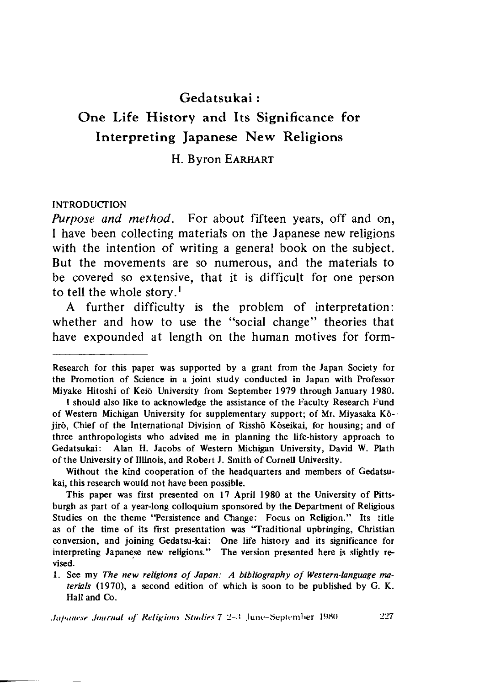## Gedatsukai :

## One Life History and Its Significance for Interpreting Japanese New Religions

#### H. Byron EARHART

#### INTRODUCTION

*Purpose and method.* For about fifteen years, off and on, I have been collecting materials on the Japanese new religions with the intention of writing a general book on the subject. But the movements are so numerous, and the materials to be covered so extensive, that it is difficult for one person to tell the whole story.<sup>1</sup>

A further difficulty is the problem of interpretation: whether and how to use the "social change" theories that have expounded at length on the human motives for form-

Research for this paper was supported by a grant from the Japan Society for the Promotion of Science in a joint study conducted in Japan with Professor Miyake Hitoshi of Keio University from September 1979 through January 1980.

I should also like to acknowledge the assistance of the Faculty Research Fund of Western Michigan University for supplementary support; of Mr. Miyasaka Kojirō, Chief of the International Division of Risshō Kōseikai, for housing; and of three anthropologists who advised me in planning the life-history approach to Gedatsukai: Alan H. Jacobs of Western Michigan University, David W. Plath of the University of Illinois, and Robert J. Smith of Cornell University.

Without the kind cooperation of the headquarters and members of Gedatsukai, this research would not have been possible.

This paper was first presented on 17 April 1980 at the University of Pittsburgh as part of a year-long colloquium sponsored by the Department of Religious Studies on the theme "Persistence and Change: Focus on Religion." Its title as of the time of its first presentation was 'Traditional upbringing, Christian conversion, and joining Gedatsu-kai: One life history and its significance for interpreting Japanese new religions." The version presented here is slightly revised.

<sup>1 .</sup> See my *The new religions of Japan: A bibliography o f Western-language materials* (1970), a second edition of which is soon to be published by G. K. Hall and Co.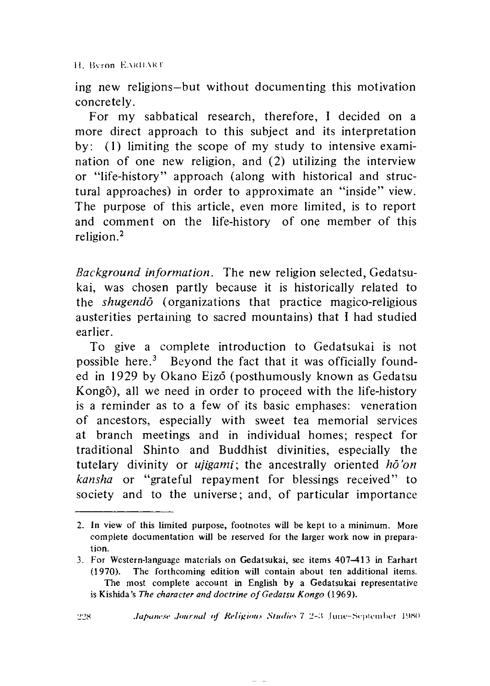H. Byron EARILART

ing new religions—but without documenting this motivation concretely.

For my sabbatical research, therefore, I decided on a more direct approach to this subject and its interpretation by:  $(1)$  limiting the scope of my study to intensive examination of one new religion, and (2) utilizing the interview or "life-history" approach (along with historical and structural approaches) in order to approximate an "inside" view. The purpose of this article, even more limited, is to report and comment on the life-history of one member of this religion.2

*Background information.* The new religion selected, Gedatsukai, was chosen partly because it is historically related to the *shugendo* (organizations that practice magico-religious austerities pertaining to sacred mountains) that I had studied earlier.

To give a complete introduction to Gedatsukai is not possible here.3 Beyond the fact that it was officially founded in 1929 by Okano Eizo (posthumously known as Gedatsu Kongo), all we need in order to proceed with the life-history is a reminder as to a few of its basic emphases: veneration of ancestors, especially with sweet tea memorial services at branch meetings and in individual homes; respect for traditional Shinto and Buddhist divinities, especially the tutelary divinity or *ujigami*; the ancestrally oriented *ho'on kansha* or "grateful repayment for blessings received" to society and to the universe; and, of particular importance

<sup>2.</sup> In view of this limited purpose, footnotes will be kept to a minimum. More complete documentation will be reserved for the larger work now in preparation.

<sup>3.</sup> For Western-language materials on Gedatsukai, see items 407-413 in Earhart (1970). The forthcoming edition will contain about ten additional items. The most complete account in English by a Gedatsukai representative is Kishida's *The character and doctrine of Gedatsu Kongo* (1969).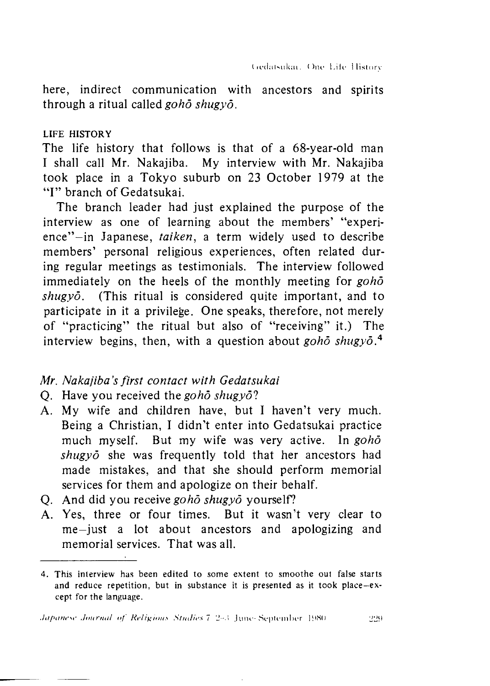here, indirect communication with ancestors and spirits through a ritual called *goho shugyo.*

#### LIFE HISTORY

The life history that follows is that of a 68-year-old man I shall call Mr. Nakajiba. My interview with Mr. Nakajiba took place in a Tokyo suburb on 23 October 1979 at the "I" branch of Gedatsukai.

The branch leader had just explained the purpose of the interview as one of learning about the members' "experience"-in Japanese, *taiken*, a term widely used to describe members' personal religious experiences, often related during regular meetings as testimonials. The interview followed immediately on the heels of the monthly meeting for *goho shugyo.* (This ritual is considered quite important, and to participate in it a privilege. One speaks, therefore, not merely of "practicing" the ritual but also of "receiving" it.) The interview begins, then, with a question about *goho shugyo.^*

#### *Mr. Nakajiba,s first contact with Gedatsukai*

- Q. Have you received the *goho shugyol*
- A. My wife and children have, but I haven't very much. Being a Christian, I didn't enter into Gedatsukai practice much myself. But my wife was very active. In *goho shugyo* she was frequently told that her ancestors had made mistakes, and that she should perform memorial services for them and apologize on their behalf.
- Q. And did you receive *goho shugyo* yourself?
- A. Yes, three or four times. But it wasn't very clear to me—just a lot about ancestors and apologizing and memorial services. That was all.

<sup>4.</sup> This interview has been edited to some extent to smoothe out false starts and reduce repetition, but in substance it is presented as it took place-except for the language.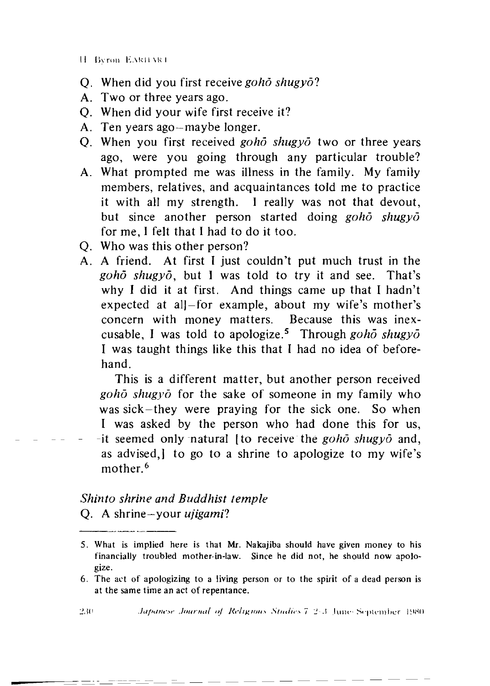11 **Byron EARILART** 

- When did you first receive *goho shugyo:* Q
- A. Two or three years ago.
- When did your wife first receive it? 0
- A. Ten years ago—maybe longer.
- Q. When you first received *goho shugyo* two or three years ago, were you going through any particular trouble?
- A. What prompted me was illness in the family. My family members, relatives, and acquaintances told me to practice it with all my strength. I really was not that devout, but since another person started doing *goho shugyo* for me, I felt that I had to do it too.
- Who was this other person?
- A friend. At first I just couldn't put much trust in the *goho shugyd,* but I was told to try it and see. That's why I did it at first. And things came up that I hadn't expected at alj-for example, about my wife's mother's concern with money matters. Because this was inexcusable, I was told to apologize.5 Through *goho shugyo* I was taught things like this that I had no idea of beforehand. Q A

This is a different matter, but another person received *goho shugyo* for the sake of someone in my family who was sick-they were praying for the sick one. So when I was asked by the person who had done this for us, -it seemed only natural [to receive the *goho shugyo* and, as advised,] to go to a shrine to apologize to my wife's mother.<sup>6</sup>

# *Shinto shrine and Buddhist temple*

Q. A shrine—your *ujigamil*

<sup>5.</sup> What is implied here is that Mr. Nakajiba should have given money to his financially troubled mother-in-law. Since he did not, he should now apologize.

<sup>6.</sup> The act of apologizing to a living person or to the spirit of a dead person is at the same time an act of repentance.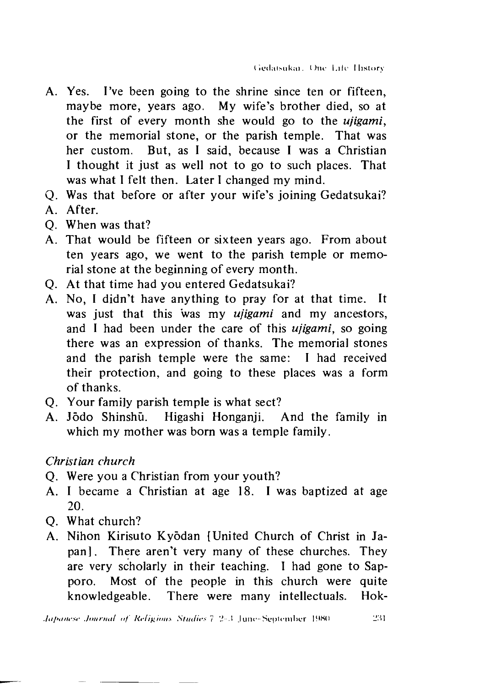- A. Yes. I've been going to the shrine since ten or fifteen, maybe more, years ago. My wife's brother died, so at the first of every month she would go to the *ujigami,* or the memorial stone, or the parish temple. That was her custom. But, as I said, because I was a Christian I thought it just as well not to go to such places. That was what I felt then. Later I changed my mind.
- Was that before or after your wife's joining Gedatsukai?
- A. After.
- When was that?
- That would be fifteen or sixteen years ago. From about ten years ago, we went to the parish temple or memorial stone at the beginning of every month.
- At that time had you entered Gedatsukai?
- A. No. I didn't have anything to pray for at that time. It was just that this was my *ujigami* and my ancestors, and I had been under the care of this *ujigami,* so going there was an expression of thanks. The memorial stones and the parish temple were the same: I had received their protection, and going to these places was a form of thanks.  $Q$  A  $Q$  A  $Q$  A
- Q. Your family parish temple is what sect?
- A. Jõdo Shinshū. Higashi Honganji. And the family in which my mother was born was a temple family.

## *Christian church*

- Q. Were you a Christian from your youth?
- A. I became a Christian at age 18. I was baptized at age 20.
- Q. What church?
- A. Nihon Kirisuto Kyodan [United Church of Christ in Japan]. There aren't very many of these churches. They are very scholarly in their teaching. I had gone to Sapporo. Most of the people in this church were quite knowledgeable. There were many intellectuals. Hok-

*Japanese Journal of Religious Studies* 7-2-3 June-September 1980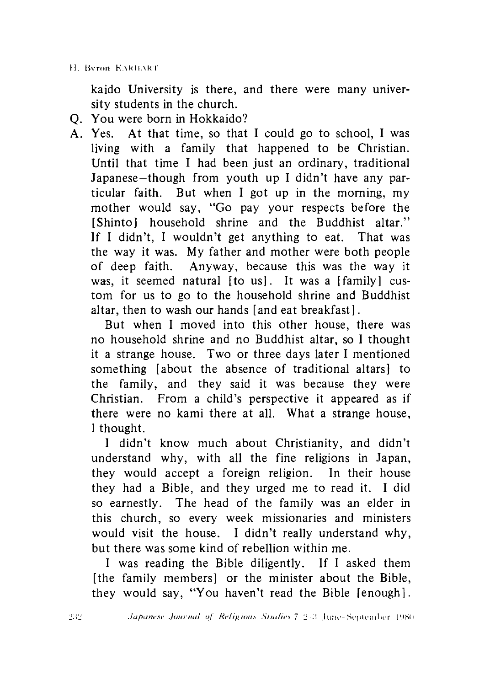kaido University is there, and there were many university students in the church.

- Q. You were born in Hokkaido?
- A. Yes. At that time, so that I could go to school, I was living with a family that happened to be Christian. Until that time I had been just an ordinary, traditional Japanese-though from youth up I didn't have any particular faith. But when I got up in the morning, my mother would say, "Go pay your respects before the [Shinto] household shrine and the Buddhist altar." If I didn't, I wouldn't get anything to eat. That was the way it was. My father and mother were both people of deep faith. Anyway, because this was the way it was, it seemed natural [to us]. It was a [family] custom for us to go to the household shrine and Buddhist altar, then to wash our hands [and eat breakfast].

But when I moved into this other house, there was no household shrine and no Buddhist altar, so I thought it a strange house. Two or three days later I mentioned something [about the absence of traditional altars] to the family, and they said it was because they were Christian. From a child's perspective it appeared as if there were no kami there at all. What a strange house, 1 thought.

I didn't know much about Christianity, and didn't understand why, with all the fine religions in Japan, they would accept a foreign religion. In their house they had a Bible, and they urged me to read it. I did so earnestly. The head of the family was an elder in this church, so every week missionaries and ministers would visit the house. I didn't really understand why, but there was some kind of rebellion within me.

I was reading the Bible diligently. If I asked them [the family members] or the minister about the Bible, they would say, "You haven't read the Bible [enough].

232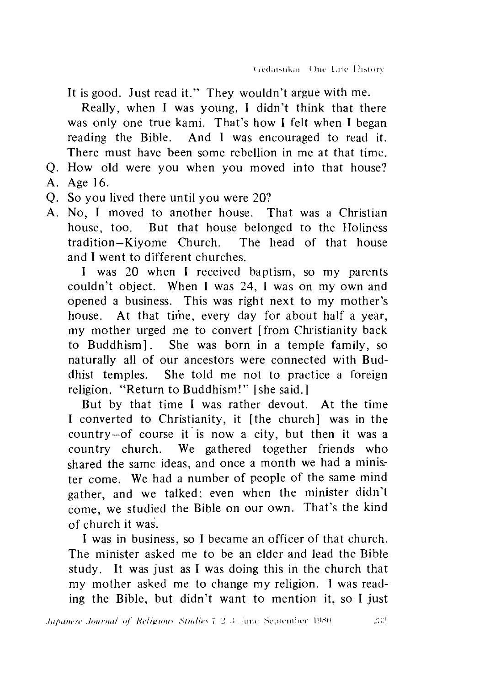It is good. Just read it." They wouldn't argue with me.

Really, when I was young, I didn't think that there was only one true kami. That's how I felt when I began reading the Bible. And I was encouraged to read it. There must have been some rebellion in me at that time.

- How old were you when you moved into that house?
- A. Age 16.
- Q. So you lived there until you were 20?
- A. No. I moved to another house. That was a Christian house, too. But that house belonged to the Holiness tradition—Kiyome Church. The head of that house and I went to different churches. Q A Q A

I was 20 when I received baptism, so my parents couldn't object. When I was 24, I was on my own and opened a business. This was right next to my mother's house. At that time, every day for about half a year, my mother urged me to convert [from Christianity back to Buddhism]. She was born in a temple family, so naturally all of our ancestors were connected with Buddhist temples. She told me not to practice a foreign religion. "Return to Buddhism!" [she said.]

But by that time I was rather devout. At the time I converted to Christianity, it [the church] was in the country—of course it is now a city, but then it was a country church. We gathered together friends who shared the same ideas, and once a month we had a minister come. We had a number of people of the same mind gather, and we talked; even when the minister didn't come, we studied the Bible on our own. That's the kind of church it was.

I was in business, so I became an officer of that church. The minister asked me to be an elder and lead the Bible study. It was just as I was doing this in the church that my mother asked me to change my religion. I was reading the Bible, but didn't want to mention it, so I just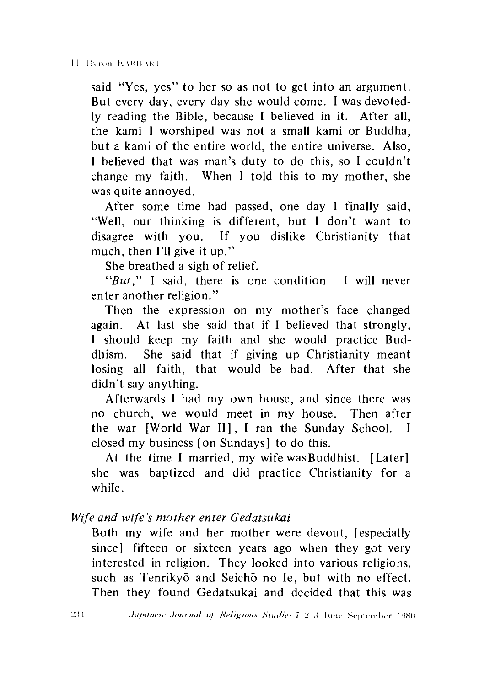said "Yes, yes" to her so as not to get into an argument. But every day, every day she would come. I was devotedly reading the Bible, because I believed in it. After all, the kami I worshiped was not a small kami or Buddha, but a kami of the entire world, the entire universe. Also, I believed that was man's duty to do this, so I couldn't change my faith. When I told this to my mother, she was quite annoyed.

After some time had passed, one day I finally said, ''Well, our thinking is different, but I don't want to disagree with you. If you dislike Christianity that much, then I'll give it up."

She breathed a sigh of relief.

*"But,"* I said, there is one condition. I will never enter another religion."

Then the expression on my mother's face changed again. At last she said that if I believed that strongly, 1 should keep my faith and she would practice Buddhism. She said that if giving up Christianity meant losing all faith, that would be bad. After that she didn't say anything.

Afterwards I had my own house, and since there was no church, we would meet in my house. Then after the war [World War II], I ran the Sunday School. I closed my business [on Sundays] to do this.

At the time I married, my wife was Buddhist. [Later] she was baptized and did practice Christianity for a while.

*Wife and wife's mother enter Gedatsukai*

Both my wife and her mother were devout, lespecially since] fifteen or sixteen years ago when they got very interested in religion. They looked into various religions, such as Tenrikyō and Seichō no Ie, but with no effect. Then they found Gedatsukai and decided that this was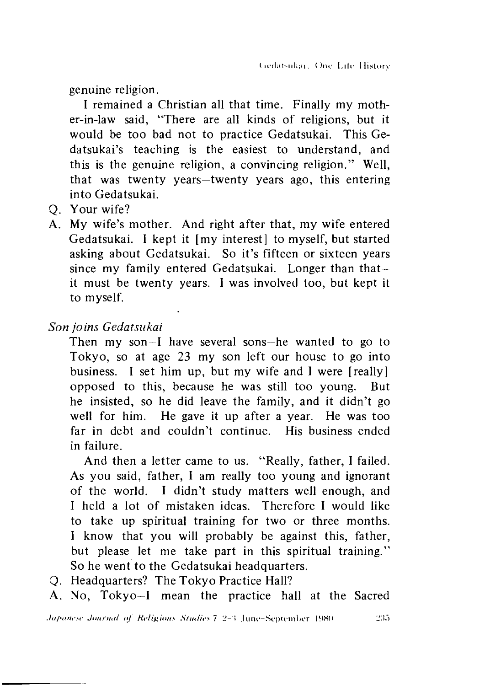genuine religion.

I remained a Christian all that time. Finally my mother-in-law said, "There are all kinds of religions, but it would be too bad not to practice Gedatsukai. This Gedatsukai's teaching is the easiest to understand, and this is the genuine religion, a convincing religion." Well, that was twenty years—twenty years ago, this entering into Gedatsukai.

- Q. Your wife?
- A. My wife's mother. And right after that, my wife entered Gedatsukai. I kept it [my interest] to myself, but started asking about Gedatsukai. So it's fifteen or sixteen years since my family entered Gedatsukai. Longer than that it must be twenty years. I was involved too, but kept it to myself.

*Son joins Gedatsukai*

Then my son-I have several sons—he wanted to go to Tokyo, so at age 23 my son left our house to go into business. I set him up, but my wife and I were [really] opposed to this, because he was still too young. But he insisted, so he did leave the family, and it didn't go well for him. He gave it up after a year. He was too far in debt and couldn't continue. His business ended in failure.

And then a letter came to us. "Really, father, I failed. As you said, father, I am really too young and ignorant of the world. I didn't study matters well enough, and I held a lot of mistaken ideas. Therefore I would like to take up spiritual training for two or three months. I know that you will probably be against this, father, but please let me take part in this spiritual training." So he went to the Gedatsukai headquarters.

Q. Headquarters? The Tokyo Practice Hall?

A. No, Tokyo—I mean the practice hall at the Sacred

*Japanese Journal of Religious Studies* 7 2-3 June-September 1980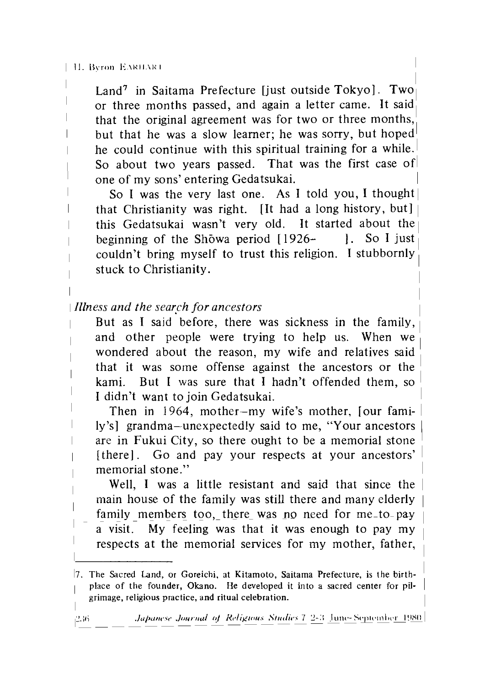#### | H. Byron EARILART

Land<sup>7</sup> in Saitama Prefecture liust outside Tokyo]. Two or three months passed, and again a letter came. It said, that the original agreement was for two or three months, but that he was a slow learner; he was sorry, but hoped he could continue with this spiritual training for a while. So about two years passed. That was the first case of one of my sons' entering Gedatsukai.

So I was the very last one. As I told you, I thought that Christianity was right. [It had a long history, but] | this Gedatsukai wasn't very old. It started about the | beginning of the Showa period  $[1926 - ]$ . So I just couldn't bring myself to trust this religion. I stubbornly stuck to Christianity.

I *Illness and the search for ancestors*

But as I said before, there was sickness in the family, and other people were trying to help us. When we wondered about the reason, my wife and relatives said that it was some offense against the ancestors or the kami. But I was sure that I hadn't offended them, so I didn't want to join Gedatsukai.

Then in 1964, mother—my wife's mother, jour family's] grandma-unexpectedly said to me, "Your ancestors are in Fukui City, so there ought to be a memorial stone [there]. Go and pay your respects at your ancestors' memorial stone."

Well, I was a little resistant and said that since the main house of the family was still there and many elderly family members too, there was no need for me-to-pay a visit. My feeling was that it was enough to pay my respects at the memorial services for my mother, father,

<sup>17.</sup> The Sacred Land, or Goreichi, at Kitamoto, Saitama Prefecture, is the birth- 1 place of the founder, Okano. He developed it into a sacred center for pilgrimage, religious practice, and ritual celebration.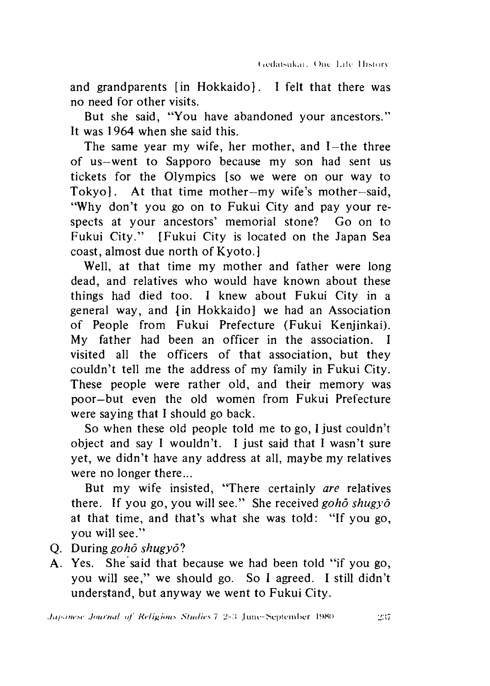and grandparents [in Hokkaido]. I felt that there was no need for other visits.

But she said, "You have abandoned your ancestors." It was 1964 when she said this.

The same year my wife, her mother, and I-the three of us—went to Sapporo because my son had sent us tickets for the Olympics [so we were on our way to Tokyo]. At that time mother—my wife's mother—said, "Why don't you go on to Fukui City and pay your respects at your ancestors' memorial stone? Go on to Fukui City." [Fukui City is located on the Japan Sea coast, almost due north of Kyoto.]

Well, at that time my mother and father were long dead, and relatives who would have known about these things had died too. I knew about Fukui City in a general way, and {in Hokkaido] we had an Association of People from Fukui Prefecture (Fukui Kenjinkai). My father had been an officer in the association. I visited all the officers of that association, but they couldn't tell me the address of my family in Fukui City. These people were rather old, and their memory was poor—but even the old women from Fukui Prefecture were saying that I should go back.

So when these old people told me to go, I just couldn't object and say I wouldn't. I just said that I wasn't sure yet, we didn't have any address at all, maybe my relatives were no longer there...

But my wife insisted, "There certainly *are* relatives there. If you go, you will see." She received *goho shugyo* at that time, and that's what she was told: "If you go, you will see."

- Q. During *goho shugyol*
- A. Yes. She said that because we had been told "if you go, you will see," we should go. So I agreed. I still didn't understand, but anyway we went to Fukui City.

*Javanese Journal of Religious Studies* 7 2-3 June-September 1980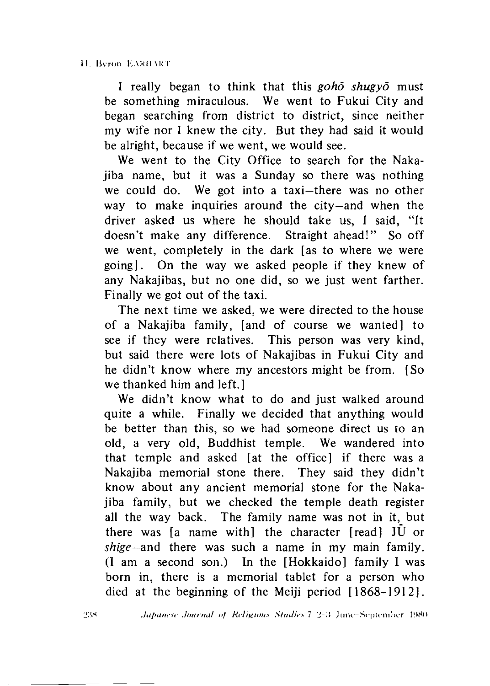I really began to think that this *goho shugyo* must be something miraculous. We went to Fukui City and began searching from district to district, since neither my wife nor I knew the city. But they had said it would be alright, because if we went, we would see.

We went to the City Office to search for the Nakajiba name, but it was a Sunday so there was nothing we could do. We got into a taxi—there was no other way to make inquiries around the city—and when the driver asked us where he should take us, I said, "It doesn't make any difference. Straight ahead!" So off we went, completely in the dark [as to where we were going]. On the way we asked people if they knew of any Nakajibas, but no one did, so we just went farther. Finally we got out of the taxi.

The next time we asked, we were directed to the house of a Nakajiba family, [and of course we wanted] to see if they were relatives. This person was very kind, but said there were lots of Nakajibas in Fukui City and he didn't know where my ancestors might be from. [So we thanked him and left.

We didn't know what to do and just walked around quite a while. Finally we decided that anything would be better than this, so we had someone direct us to an old,a very old, Buddhist temple. We wandered into that temple and asked [at the office] if there was a Nakajiba memorial stone there. They said they didn't know about any ancient memorial stone for the Nakajiba family, but we checked the temple death register all the way back. The family name was not in it, but there was  $[a]$  name with the character  $[read]$  JU or *shige-and* there was such a name in my main family. (I am a second son.) In the [Hokkaido] family I was born in, there is a memorial tablet for a person who died at the beginning of the Meiji period [1868-1912].

238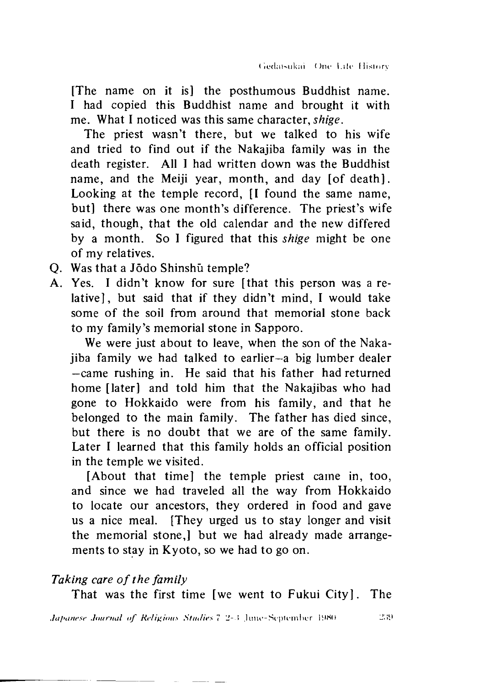[The name on it is] the posthumous Buddhist name. I had copied this Buddhist name and brought it with me. What I noticed was this same character, *shige.*

The priest wasn't there, but we talked to his wife and tried to find out if the Nakajiba family was in the death register. All I had written down was the Buddhist name, and the Meiji year, month, and day [of death]. Looking at the temple record, II found the same name, but] there was one month's difference. The priest's wife said, though, that the old calendar and the new differed by a month. So I figured that this *shige* might be one of my relatives.

- Q. Was that a Jodo Shinshu temple?
- A. Yes. I didn't know for sure [that this person was a relative], but said that if they didn't mind. I would take some of the soil from around that memorial stone back to my family's memorial stone in Sapporo.

We were just about to leave, when the son of the Nakajiba family we had talked to earlier—a big lumber dealer —came rushing in. He said that his father had returned home [later] and told him that the Nakajibas who had gone to Hokkaido were from his family, and that he belonged to the main family. The father has died since, but there is no doubt that we are of the same family. Later I learned that this family holds an official position in the temple we visited.

[About that time] the temple priest came in, too, and since we had traveled all the way from Hokkaido to locate our ancestors, they ordered in food and gave us a nice meal. [They urged us to stay longer and visit the memorial stone,] but we had already made arrangements to stay in Kyoto, so we had to go on.

#### *Taking care of the family*

That was the first time [we went to Fukui City]. The

*Japanese Journal of Religious Studies* 7 2-3 June-September 1980

239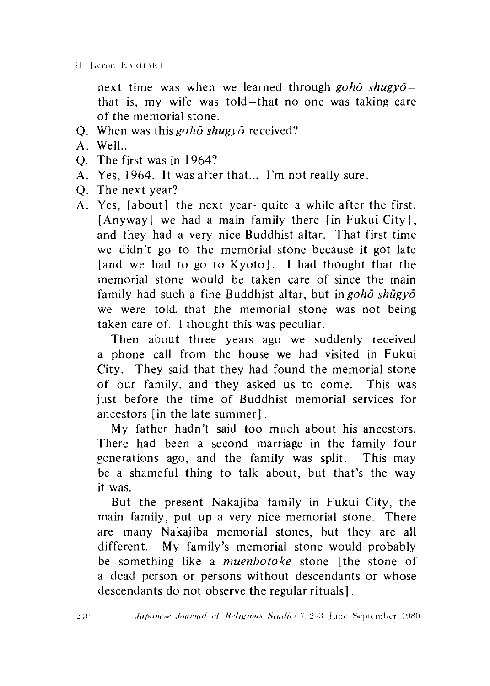next time was when we learned through *goho shugyo*  that is, my wife was told-that no one was taking care of the memorial stone.

- O. When was this *goho shugyo* received?
- A Well...
- O. The first was in 1964?
- A. Yes, 1964. It was after that... I'm not really sure.
- O. The next year?
- Yes, [about] the next year—quite a while after the first. [Anyway] we had a main family there  $\lceil \ln F$ ukui City], and they had a very nice Buddhist altar. That first time we didn't go to the memorial stone because it got late [and we had to go to Kyoto]. 1 had thought that the memorial stone would be taken care of since the main family had such a fine Buddhist altar, but in *goho shugyo* we were told, that the memorial stone was not being taken care of. I thought this was peculiar.  $Q$  A  $Q$  A  $Q$  A

Then about three years ago we suddenly received a phone call from the house we had visited in Fukui City. They said that they had found the memorial stone of our family, and they asked us to come. This was just before the time of Buddhist memorial services for ancestors [in the late summer].

My father hadn't said too much about his ancestors. There had been a second marriage in the family four generations ago, and the family was split. This may be a shameful thing to talk about, but that's the way it was.

But the present Nakajiba family in Fukui City, the main family, put up a very nice memorial stone. There are many Nakajiba memorial stones, but they are all different. My family's memorial stone would probably be something like a *muenbotoke* stone [the stone of a dead person or persons without descendants or whose descendants do not observe the regular rituals].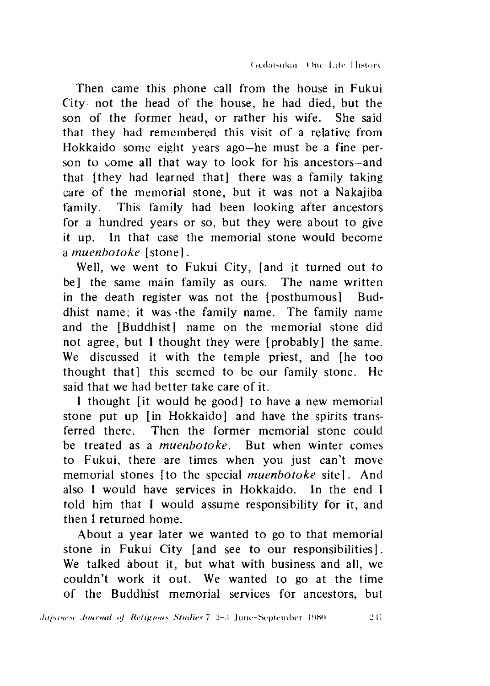Then came this phone call from the house in Fukui  $City$ -not the head of the house, he had died, but the son of the former head, or rather his wife. She said that they had remembered this visit of a relative from Hokkaido some eight years ago—he must be a fine person to come all that way to look for his ancestors—and that [they had learned that] there was a family taking care of the memorial stone, but it was not a Nakajiba family. This family had been looking after ancestors for a hundred years or so, but they were about to give it up. In that case the memorial stone would become a *muenbotoke* [stone].

Well, we went to Fukui City, [and it turned out to be] the same main family as ours. The name written in the death register was not the [posthumous] Buddhist name; it was -the family name. The family name and the [Buddhist] name on the memorial stone did not agree, but I thought they were [probably] the same. We discussed it with the temple priest, and the too thought that] this seemed to be our family stone. He said that we had better take care of it.

I thought *it* would be good to have a new memorial stone put up [in Hokkaido] and have the spirits transferred there. Then the former memorial stone could be treated as a *muenbotoke*. But when winter comes to Fukui, there are times when you just can't move memorial stones [to the special *muenbotoke* site]. And also I would have services in Hokkaido. In the end I told him that I would assume responsibility for it, and then I returned home.

About a year later we wanted to go to that memorial stone in Fukui City [and see to our responsibilities]. We talked about it, but what with business and all, we couldn't work it out. We wanted to go at the time of the Buddhist memorial services for ancestors, but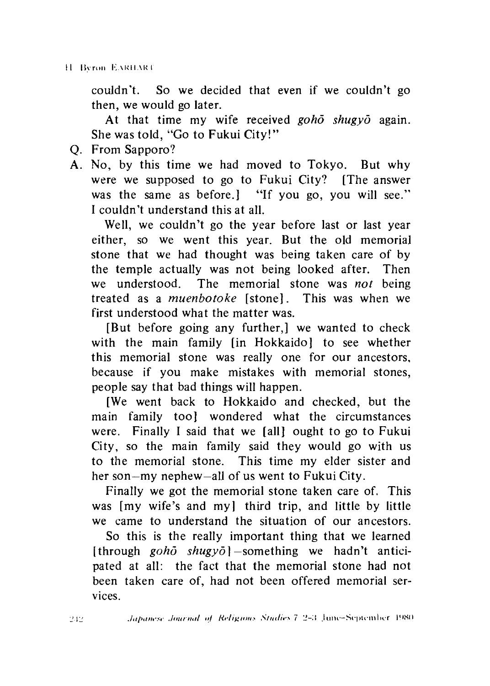couldn't. So we decided that even if we couldn't go then, we would go later.

At that time my wife received *goho shugyo* again. She was told, "Go to Fukui City!"

- Q. From Sapporo?
- A. No, by this time we had moved to Tokyo. But why were we supposed to go to Fukui City? [The answer was the same as before. I "If you go, you will see." I couldn't understand this at all.

Well, we couldn't go the year before last or last year either, so we went this year. But the old memorial stone that we had thought was being taken care of by the temple actually was not being looked after. Then we understood. The memorial stone was *not* being treated as a *muenbotoke* [stone]. This was when we first understood what the matter was.

[But before going any further,] we wanted to check with the main family (in Hokkaido) to see whether this memorial stone was really one for our ancestors, because if you make mistakes with memorial stones, people say that bad things will happen.

[We went back to Hokkaido and checked, but the main family too] wondered what the circumstances were. Finally I said that we [all] ought to go to Fukui City, so the main family said they would go with us to the memorial stone. This time my elder sister and her son—my nephew—all of us went to Fukui City.

Finally we got the memorial stone taken care of. This was [my wife's and my] third trip, and little by little we came to understand the situation of our ancestors.

So this is the really important thing that we learned [through *goho shugyo]* —something we hadn't anticipated at all: the fact that the memorial stone had not been taken care of, had not been offered memorial services.

242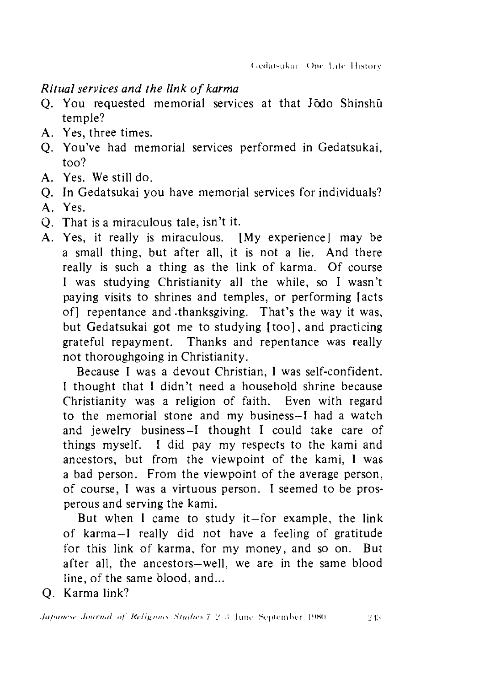### *Ritual services and the link of karma*

- Q. You requested memorial services at that Jodo Shinshu temple?
- A. Yes, three times.
- Q. You've had memorial services performed in Gedatsukai, too?
- A. Yes. We still do.
- Q. In Gedatsukai you have memorial services for individuals?
- A. Yes.
- Q. That is a miraculous tale, isn't it.
- A. Yes, it really is miraculous. [My experience] may be a small thing, but after all, it is not a lie. And there really is such a thing as the link of karma. Of course I was studying Christianity all the while, so I wasn't paying visits to shrines and temples, or performing [acts of] repentance and -thanksgiving. That's the way it was, but Gedatsukai got me to studying [too], and practicing grateful repayment. Thanks and repentance was really not thoroughgoing in Christianity.

Because I was a devout Christian, I was self-confident. I thought that I didn't need a household shrine because Christianity was a religion of faith. Even with regard to the memorial stone and my business—I had a watch and jewelry business—I thought I could take care of things myself. I did pay my respects to the kami and ancestors, but from the viewpoint of the kami, I was a bad person. From the viewpoint of the average person, of course, I was a virtuous person. I seemed to be prosperous and serving the kami.

But when  $\bf{l}$  came to study it-for example, the link of karma—I really did not have a feeling of gratitude for this link of karma, for my money, and so on. But after all, the ancestors-well, we are in the same blood line, of the same blood, and...

Q. Karma link?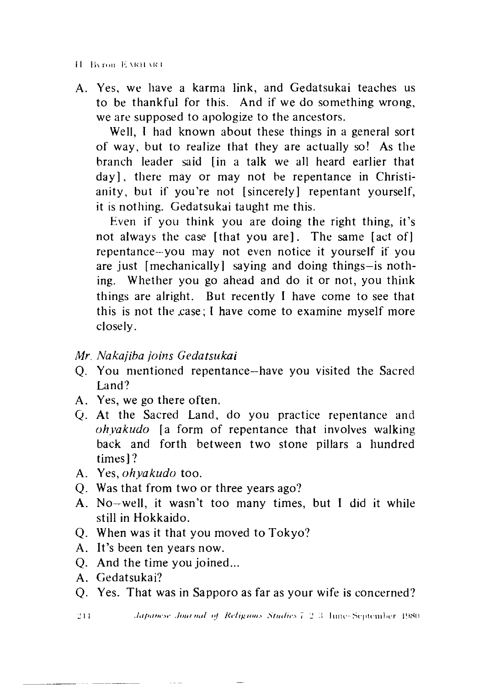A. Yes, we have a karma link, and Gedatsukai teaches us to be thankful for this. And if we do something wrong, we are supposed to apologize to the ancestors.

Well, I had known about these things in a general sort of way, but to realize that they are actually so! As the branch leader said [in a talk we all heard earlier that day], there may or may not be repentance in Christianity, but if you're not [sincerely] repentant yourself, it is nothing. Gedatsukai taught me this.

Even if you think you are doing the right thing, it's not always the case [that you are]. The same [act of] repentance—you may not even notice it yourself if you are just [mechanically] saying and doing things—is nothing. Whether you go ahead and do it or not, you think things are alright. But recently I have come to see that this is not the .case; I have come to examine myself more closely.

## *Mr. Nakajiba joins Gedatsukai*

- Q. You mentioned repentance—have you visited the Sacred Land?
- A. Yes, we go there often.
- Q. At the Sacred Land, do you practice repentance and *ohyakudo* [a form of repentance that involves walking back and forth between two stone pillars a hundred times] ?
- A. Yes, *ohyakudo* too.
- Q. Was that from two or three years ago?
- A. No-well, it wasn't too many times, but I did it while still in Hokkaido.  $\begin{array}{c}\n\mathbf{A} \\
\mathbf{C} \\
\mathbf{A} \\
\mathbf{C}\n\end{array}$
- Q. When was it that you moved to Tokyo?
- A. It's been ten years now.
- Q. And the time you joined...
- A. Gedatsukai?

244.

Q. Yes. That was in Sapporo as far as your wife is concerned?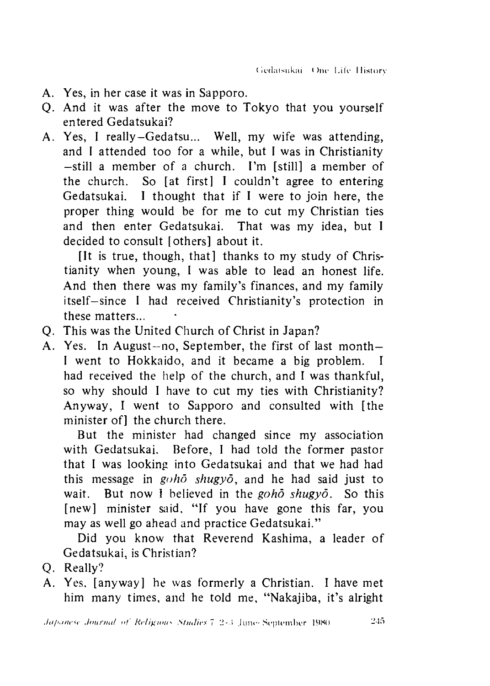- A. Yes, in her case it was in Sapporo.
- Q. And it was after the move to Tokyo that you yourself entered Gedatsukai?
- Yes, I really—Gedatsu... Well, my wife was attending, A.and I attended too for a while, but I was in Christianity —still a member of a church. I'm [still]a member of the church. So [at first] I couldn't agree to entering Gedatsukai. I thought that if I were to join here, the proper thing would be for me to cut my Christian ties and then enter Gedatsukai. That was my idea, but I decided to consult [others] about it.

[It is true, though, that] thanks to my study of Christianity when young, I was able to lead an honest life. And then there was my family's finances, and my family itself—since I had received Christianity's protection in these matters...

- This was the United Church of Christ in Japan?
- A. Yes. In August-no, September, the first of last month-I went to Hokkaido, and it became a big problem. I had received the help of the church, and I was thankful, so why should I have to cut my ties with Christianity? Anyway, I went to Sapporo and consulted with [the minister of l the church there. Q A<br>Q

But the minister had changed since my association with Gedatsukai. Before, I had told the former pastor that I was looking into Gedatsukai and that we had had this message in *goho shugyo,* and he had said just to wait. But now 1 believed in the *goho shugyo.* So this [new] minister said, "If you have gone this far, you may as well go ahead and practice Gedatsukai."

Did you know that Reverend Kashima, a leader of Gedatsukai, is Christian?

- O. Really?
- Yes, [anyway] he was formerly a Christian. I have met him many times, and he told me, "Nakajiba, it's alright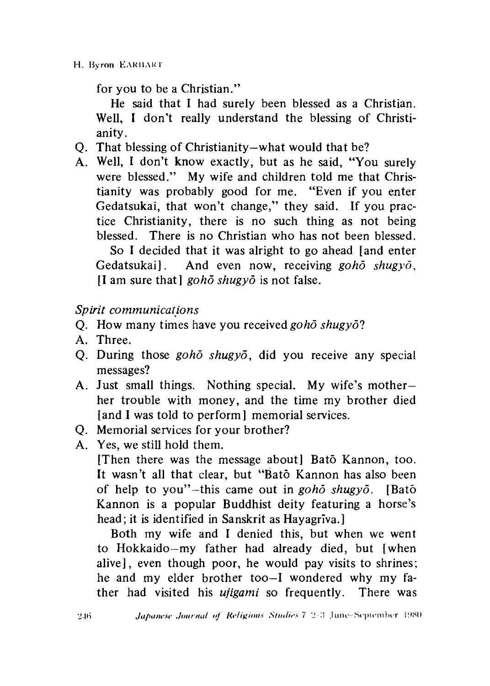for you to be a Christian."

He said that I had surely been blessed as a Christian. Well, I don't really understand the blessing of Christianity.

- Q. That blessing of Christianity—what would that be?
- A. Well, I don't know exactly, but as he said, "You surely were blessed." My wife and children told me that Christianity was probably good for me. "Even if you enter Gedatsukai, that won't change," they said. If you practice Christianity, there is no such thing as not being blessed. There is no Christian who has not been blessed. So I decided that it was alright to go ahead [and enter Gedatsukai]. And even now, receiving *goho shugyo,* [I am sure that] *gohd shugyo* is not false.

*Spirit communications*

- Q. How many times have you received *goho shugyol*
- A. Three.
- Q. During those *goho shugyo*, did you receive any special messages?
- A. Just small things. Nothing special. My wife's mother her trouble with money, and the time my brother died [and I was told to perform memorial services.]
- Q. Memorial services for your brother?
- A. Yes, we still hold them.

[Then there was the message about] Bato Kannon, too. It wasn't all that clear, but "Bato Kannon has also been of help to you"-this came out in *goho shugyo*. [Bato Kannon is a popular Buddhist deity featuring a horse's head; it is identified in Sanskrit as Hayagriva.]

Both my wife and I denied this, but when we went to Hokkaido—my father had already died, but [when alive], even though poor, he would pay visits to shrines; he and my elder brother too—I wondered why my father had visited his *ujigami* so frequently. There was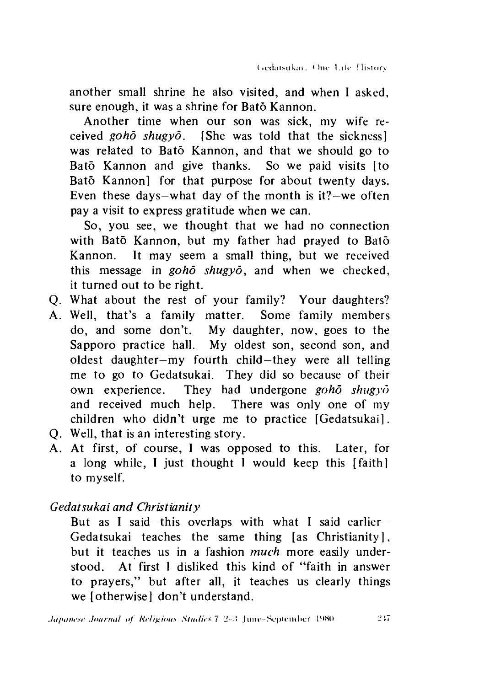another small shrine he also visited, and when I asked, sure enough, it was a shrine for Bato Kannon.

Another time when our son was sick, my wife received *goho shugyo.* [She was told that the sickness] was related to Bato Kannon, and that we should go to Bato Kannon and give thanks. So we paid visits [to Bato Kannon] for that purpose for about twenty days. Even these days—what day of the month is  $it?$ —we often pay a visit to express gratitude when we can.

So, you see, we thought that we had no connection with Bato Kannon, but my father had prayed to Bato Kannon. It may seem a small thing, but we received this message in *gohd shugyo,* and when we checked, it turned out to be right.

- Q. What about the rest of your family? Your daughters?
- A. Well, that's a family matter. Some family members do, and some don't. My daughter, now, goes to the Sapporo practice hall. My oldest son, second son, and oldest daughter—my fourth child—they were all telling me to go to Gedatsukai. They did so because of their own experience. They had undergone *gohd shugyo* and received much help. There was only one of my children who didn't urge me to practice [Gedatsukai].
- Q. Well, that is an interesting story.
- A. At first, of course, I was opposed to this. Later, for a long while, I just thought 1 would keep this [faith] to myself.

*Gedatsukai and Christianity*

But as I said—this overlaps with what I said earlier— Gedatsukai teaches the same thing [as Christianity ], but it teaches us in a fashion *much* more easily understood. At first 1 disliked this kind of "faith in answer to prayers," but after all, it teaches us clearly things we [otherwise] don't understand.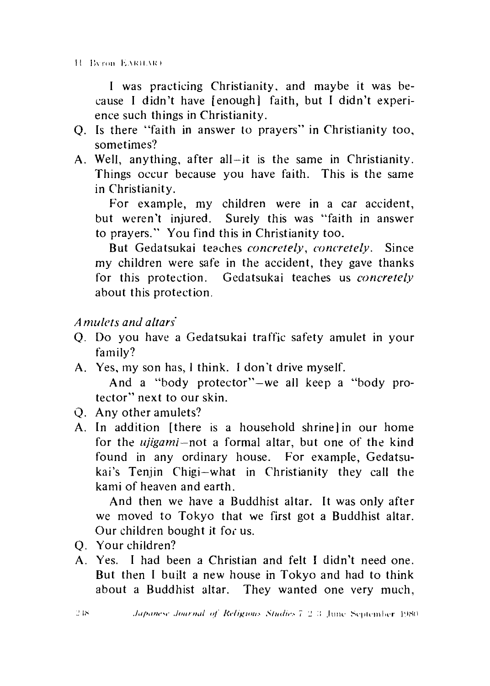II Byron EARILAR)

I was practicing Christianity, and maybe it was because I didn't have [enough] faith, but I didn't experience such things in Christianity.

- Q. Is there "faith in answer to prayers" in Christianity too, sometimes?
- A. Well, anything, after all—it is the same in Christianity. Things occur because you have faith. This is the same in Christianity.

For example, my children were in a car accident, but weren't injured. Surely this was "faith in answer to prayers." You find this in Christianity too.

But Gedatsukai teaches *concretely, concretely.* Since my children were safe in the accident, they gave thanks for this protection. Gedatsukai teaches us *concretely* about this protection.

## *A mulcts and altars*

- *Q.* Do you have a Gedatsukai traffic safety amulet in your family?
- A. Yes, my son has, I think. I don't drive myself. And a "body protector"-we all keep a "body protector" next to our skin.
- Q. Any other amulets?
- A, In addition [there is a household shrine] in our home for the *ujigami—not* a formal altar, but one of the kind found in any ordinary house. For example, Gedatsukai's Tenjin Chigi—what in Christianity they call the kami of heaven and earth.

And then we have a Buddhist altar. It was only after we moved to Tokyo that we first got a Buddhist altar. Our children bought it for us.

- Q. Your children?
- A. Yes. I had been a Christian and felt I didn't need one. But then I built a new house in Tokyo and had to think about a Buddhist altar. They wanted one very much,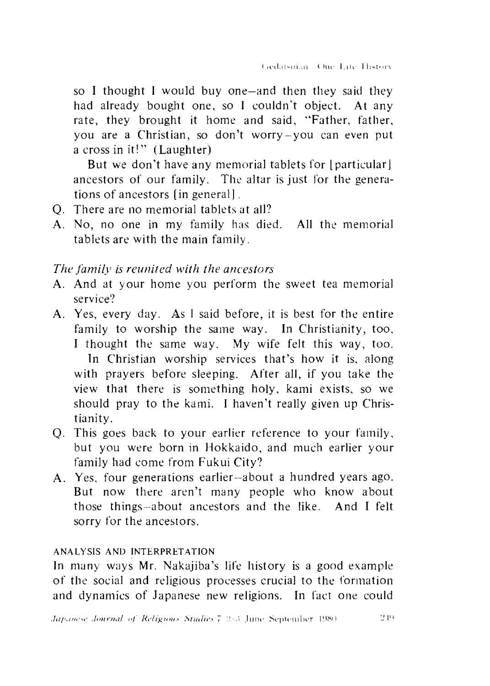so I thought I would buy one—and then they said they had already bought one, so I couldn't object. At any rate, they brought it home and said, "Father, father, you are a Christian, so don't worry-you can even put a cross in it!" (Laughter)

But we don't have any memorial tablets for [particular] ancestors of our family. The altar is just for the generations of ancestors [in general].

- Q. There are no memorial tablets at all?
- A. No, no one in my family has died. All the memorial tablets are with the main family.

## *The family is reunited with the ancestors*

- A. And at your home you perform the sweet tea memorial service?
- A. Yes, every day. As I said before, it is best for the entire family to worship the same way. In Christianity, too, I thought the same way. My wife felt this way, too. In Christian worship services that's how it is, along with prayers before sleeping. After all, if you take the view that there is something holy, kami exists, so we should pray to the kami. I haven't really given up Christianity.
- 0- This goes back to your earlier reference to your family, but you were born in Hokkaido, and much earlier your family had come from Fukui City?
- A. Yes, four generations earlier—about a hundred years ago. But now there aren't many people who know about those things--about ancestors and the like. And I felt sorry for the ancestors.

#### AN ALYSIS AND INTERPRETATION

In muny ways Mr. Nakajiba's life history is a good example of the social and religious processes crucial to the formation and dynamics of Japanese new religions. In fact one could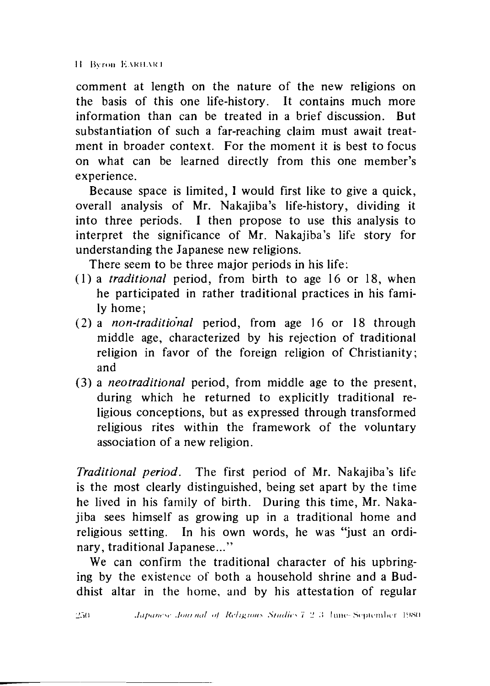comment at length on the nature of the new religions on the basis of this one life-history. It contains much more information than can be treated in a brief discussion. But substantiation of such a far-reaching claim must await treatment in broader context. For the moment it is best to focus on what can be learned directly from this one member's experience.

Because space is limited, I would first like to give a quick, overall analysis of Mr. Nakajiba's life-history, dividing it into three periods. I then propose to use this analysis to interpret the significance of Mr. Nakajiba's life story for understanding the Japanese new religions.

There seem to be three major periods in his life:

- (1)a *traditional* period, from birth to age 16 or 18, when he participated in rather traditional practices in his family home;
- (2) a *non-traditional* period, from age 16 or 18 through middle age, characterized by his rejection of traditional religion in favor of the foreign religion of Christianity; and
- (3) a *neotraditional* period, from middle age to the present, during which he returned to explicitly traditional religious conceptions, but as expressed through transformed religious rites within the framework of the voluntary association of a new religion.

*Traditional period.* The first period of Mr. Nakajiba's life is the most clearly distinguished, being set apart by the time he lived in his family of birth. During this time, Mr. Nakajiba sees himself as growing up in a traditional home and religious setting. In his own words, he was "just an ordinary, traditional Japanese..."

We can confirm the traditional character of his upbringing by the existence of both a household shrine and a Buddhist altar in the home, and by his attestation of regular

 $250$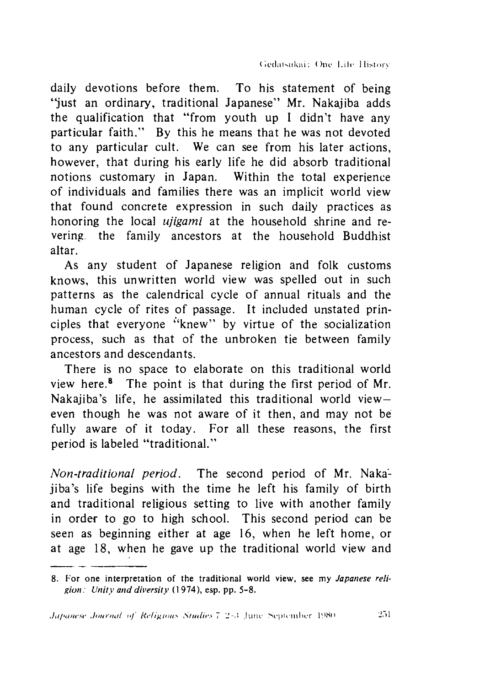daily devotions before them. To his statement of being "just an ordinary, traditional Japanese' Mr. Nakajiba adds the qualification that "from youth up I didn't have any particular faith." By this he means that he was not devoted to any particular cult. We can see from his later actions, however, that during his early life he did absorb traditional notions customary in Japan. Within the total experience of individuals and families there was an implicit world view that found concrete expression in such daily practices as honoring the local *ujigami* at the household shrine and revering. the family ancestors at the household Buddhist altar.

As any student of Japanese religion and folk customs knows, this unwritten world view was spelled out in such patterns as the calendrical cycle of annual rituals and the human cycle of rites of passage. It included unstated principles that everyone "knew" by virtue of the socialization process, such as that of the unbroken tie between family ancestors and descendants.

There is no space to elaborate on this traditional world view here.8 The point is that during the first period of Mr. Nakajiba's life, he assimilated this traditional world vieweven though he was not aware of it then, and may not be fully aware of it today. For all these reasons, the first period is labeled "traditional."

*Non-traditional period.* The second period of Mr. Nakajiba's life begins with the time he left his family of birth and traditional religious setting to live with another family in order to go to high school. This second period can be seen as beginning either at age 16, when he left home, or at age 18, when he gave up the traditional world view and

 $251$ 

<sup>8.</sup> For one interpretation of the traditional world view, see my *Japanese religion : Unity and diversity* (1 974) esp. pp. 5-8.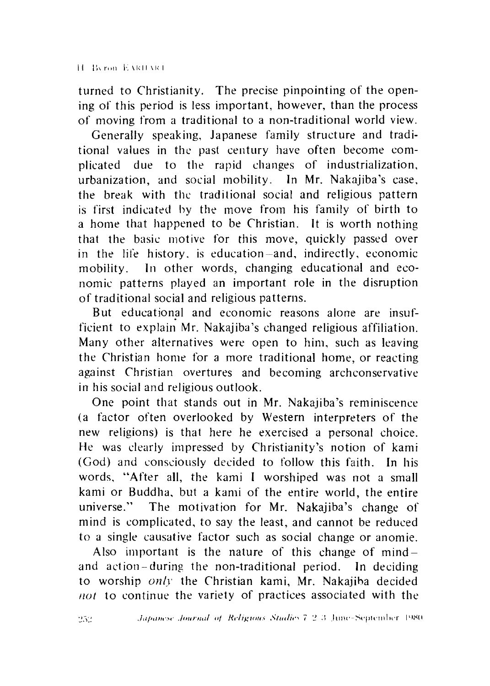turned to Christianity. The precise pinpointing of the opening of this period is less important, however, than the process of moving from a traditional to a non-traditional world view.

Generally speaking, Japanese family structure and traditional values in the past century have often become complicated due to the rapid changes of industrialization, urbanization, and social mobility. In Mr. Nakajiba's case, the break with the traditional social and religious pattern is first indicated by the move from his family of birth to a home that happened to be Christian. It is worth nothing that the basic motive for this move, quickly passed over in the life history, is education—and, indirectly, economic mobility. In other words, changing educational and economic patterns played an important role in the disruption of traditional social and religious patterns.

But educational and economic reasons alone are insufficient to explain Mr. Nakajiba's changed religious affiliation. Many other alternatives were open to him, such as leaving the Christian home for a more traditional home, or reacting against Christian overtures and becoming archconservative in his social and religious outlook.

One point that stands out in Mr. Nakajiba's reminiscence (a factor often overlooked by Western interpreters of the new religions) is that here he exercised a personal choice. He was clearly impressed by Christianity's notion of kami (God) and consciously decided to follow this faith. In his words, ''After all, the kami I worshiped was not a small kami or Buddha, but a kami of the entire world, the entire universe." The motivation for Mr. Nakajiba's change of mind is complicated, to say the least, and cannot be reduced to a single causative factor such as social change or anomie.

Also important is the nature of this change of mindand action - during the non-traditional period. In deciding to worship *only* the Christian kami, Mr. Nakajiba decided *not* to continue the variety of practices associated with the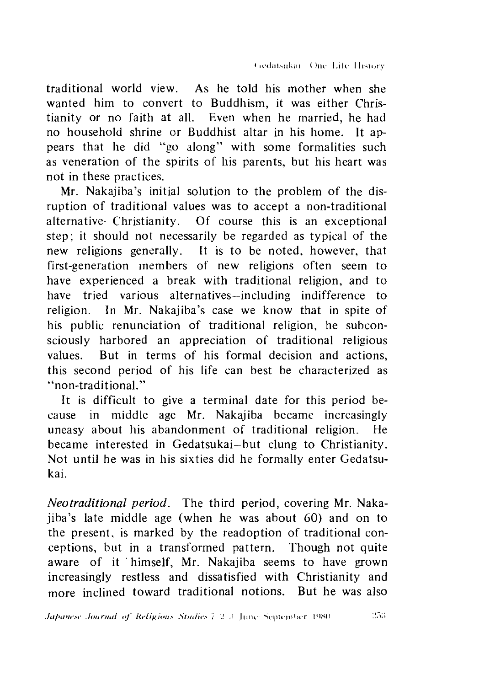traditional world view. As he told his mother when she wanted him to convert to Buddhism, it was either Christianity or no faith at all. Even when he married, he had no household shrine or Buddhist altar in his home. It appears that he did "go along'' with some formalities such as veneration of the spirits of his parents, but his heart was not in these practices.

Mr. Nakajiba's initial solution to the problem of the disruption of traditional values was to accept a non-traditional alternative—Christianity. Of course this is an exceptional step; it should not necessarily be regarded as typical of the new religions generally. It is to be noted, however, that first-generation members of new religions often seem to have experienced a break with traditional religion, and to have tried various alternatives—including indifference to religion. In Mr. Nakajiba's case we know that in spite of his public renunciation of traditional religion, he subconsciously harbored an appreciation of traditional religious values. But in terms of his formal decision and actions, this second period of his life can best be characterized as ''non-traditional.''

It is difficult to give a terminal date for this period because in middle age Mr. Nakajiba became increasingly uneasy about his abandonment of traditional religion. He became interested in Gedatsukai—but clung to Christianity. Not until he was in his sixties did he formally enter Gedatsukai.

*Neo traditional period.* The third period, covering Mr. Nakajiba's late middle age (when he was about 60) and on to the present, is marked by the readoption of traditional conceptions, but in a transformed pattern. Though not quite aware of it himself, Mr. Nakajiba seems to have grown increasingly restless and dissatisfied with Christianity and more inclined toward traditional notions. But he was also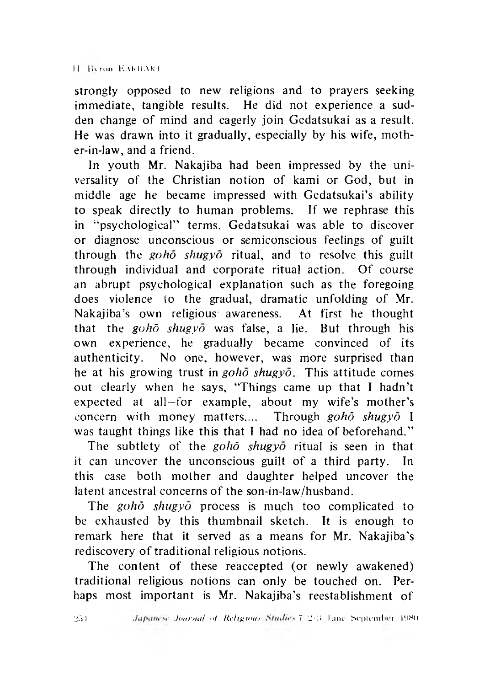II IK ron. E VRHAR 1

strongly opposed to new religions and to prayers seeking immediate, tangible results. He did not experience a sudden change of mind and eagerly join Gedatsukai as a result. He was drawn into it gradually, especially by his wife, mother-in-law, and a friend.

In youth Mr. Nakajiba had been impressed by the universality of the Christian notion of kami or God, but in middle age he became impressed with Gedatsukai's ability to speak directly to human problems. If we rephrase this in "psychological" terms, Gedatsukai was able to discover or diagnose unconscious or semiconscious feelings of guilt through the *goho shugyo* ritual, and to resolve this guilt through individual and corporate ritual action. Of course an abrupt psychological explanation such as the foregoing does violence to the gradual, dramatic unfolding of Mr. Nakajiba's own religious awareness. At first he thought that the *gohd shugyo* was false, a lie. But through his own experience, he gradually became convinced of its authenticity. No one, however, was more surprised than he at his growing trust in *goho shugyo.* This attitude comes out clearly when he says, "Things came up that I hadn't expected at all—for example, about my wife's mother's concern with money matters.... Through *gohd shugyo* I was taught things like this that I had no idea of beforehand."

The subtlety of the *gohd shugyo* ritual is seen in that it can uncover the unconscious guilt of a third party. In this case both mother and daughter helped uncover the latent ancestral concerns of the son-in-law/husband.

The *gohd shugyo* process is much too complicated to be exhausted by this thumbnail sketch. It is enough to remark here that it served as a means for Mr. Nakajiba's rediscovery of traditional religious notions.

The content of these reaccepted (or newly awakened) traditional religious notions can only be touched on. Perhaps most important is Mr. Nakajiba's reestablishment of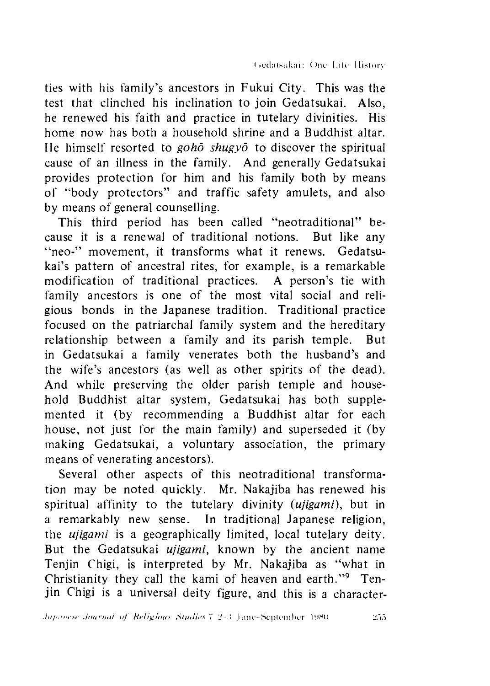ties with his family's ancestors in Fukui City. This was the test that clinched his inclination to join Gedatsukai. Also, he renewed his faith and practice in tutelary divinities. His home now has both a household shrine and a Buddhist altar. He himself resorted to *gohd shugyo* to discover the spiritual cause of an illness in the family. And generally Gedatsukai provides protection for him and his family both by means of "body protectors" and traffic safety amulets, and also by means of general counselling.

This third period has been called "neotraditional" because it is a renewal of traditional notions. But like any "neo-" movement, it transforms what it renews. Gedatsukai's pattern of ancestral rites, for example, is a remarkable modification of traditional practices. A person's tie with family ancestors is one of the most vital social and religious bonds in the Japanese tradition. Traditional practice focused on the patriarchal family system and the hereditary relationship between a family and its parish temple. But in Gedatsukai a family venerates both the husband's and the wife's ancestors (as well as other spirits of the dead). And while preserving the older parish temple and household Buddhist altar system, Gedatsukai has both supplemented it (by recommending a Buddhist altar for each house, not just for the main family) and superseded it (by making Gedatsukai, a voluntary association, the primary means of venerating ancestors).

Several other aspects of this neotraditional transformation may be noted quickly. Mr. Nakajiba has renewed his spiritual affinity to the tutelary divinity *(ujigami),* but in a remarkably new sense. In traditional Japanese religion, the *ujigami* is a geographically limited, local tutelary deity. But the Gedatsukai *ujigami,* known by the ancient name Tenjin Chigi, is interpreted by Mr. Nakajiba as "what in Christianity they call the kami of heaven and earth."9 Tenjin Chigi is a universal deity figure, and this is a character-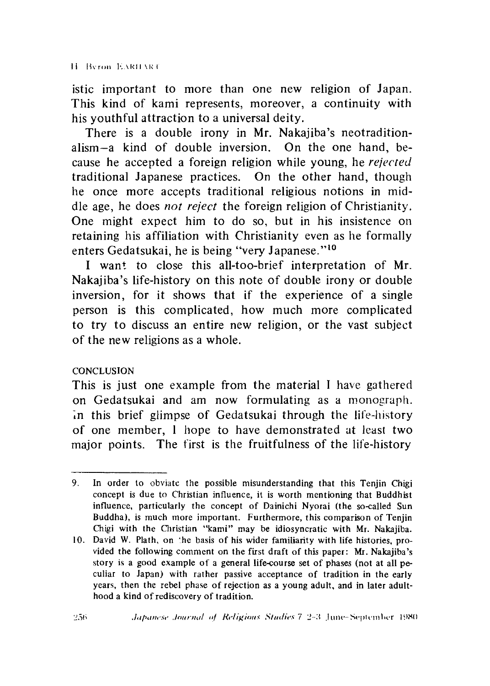istic important to more than one new religion of Japan. This kind of kami represents, moreover, a continuity with his youthful attraction to a universal deity.

There is a double irony in Mr. Nakajiba's neotraditionalism—a kind of double inversion. On the one hand, because he accepted a foreign religion while young, he *rejected* traditional Japanese practices. On the other hand, though he once more accepts traditional religious notions in middle age, he does *not reject* the foreign religion of Christianity. One might expect him to do so, but in his insistence on retaining his affiliation with Christianity even as he formally enters Gedatsukai, he is being "very Japanese."10

I want to close this all-too-brief interpretation of Mr. Nakajiba's life-history on this note of double irony or double inversion, for it shows that if the experience of a single person is this complicated, how much more complicated to try to discuss an entire new religion, or the vast subject of the new religions as a whole.

### **CONCLUSION**

This is just one example from the material I have gathered on Gedatsukai and am now formulating as a monograph. In this brief glimpse of Gedatsukai through the life-history of one member,1 hope to have demonstrated at least two major points. The first is the fruitfulness of the life-history

<sup>9.</sup> In order to obviate the possible misunderstanding that this Tenjin Chigi concept is due to Christian influence, it is worth mentioning that Buddhist influence, particularly the concept of Dainichi Nyorai (the so-called Sun Buddha), is much more important. Furthermore, this comparison of Tenjin Chigi with the Christian "kami" may be idiosyncratic with Mr. Nakajiba.

<sup>10.</sup> David W. Plath, on :he basis of his wider familiarity with life histories, provided the following comment on the first draft of this paper: Mi. Nakajiba's story is a good example of a general life-course set of phases (not at all peculiar to Japan) with rather passive acceptance of tradition in the early years, then the rebel phase of rejection as a young adult, and in later adulthood a kind of rediscovery of tradition.